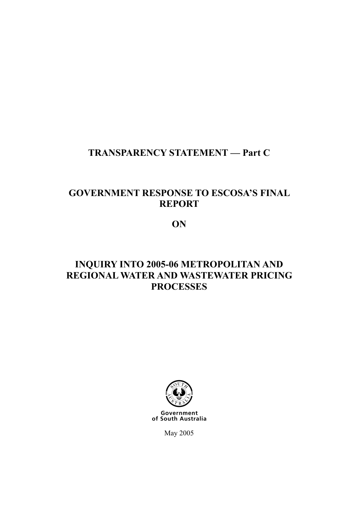### **TRANSPARENCY STATEMENT — Part C**

### **GOVERNMENT RESPONSE TO ESCOSA'S FINAL REPORT**

**ON** 

## **INQUIRY INTO 2005-06 METROPOLITAN AND REGIONAL WATER AND WASTEWATER PRICING PROCESSES**



of South Australia

May 2005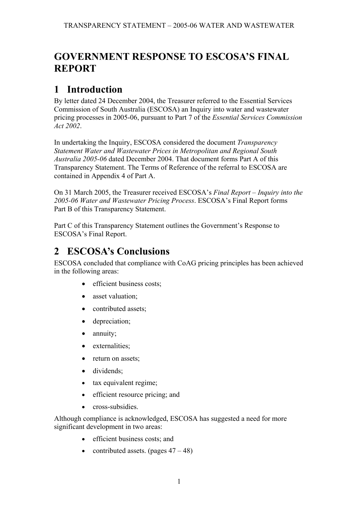# **GOVERNMENT RESPONSE TO ESCOSA'S FINAL REPORT**

## **1 Introduction**

By letter dated 24 December 2004, the Treasurer referred to the Essential Services Commission of South Australia (ESCOSA) an Inquiry into water and wastewater pricing processes in 2005-06, pursuant to Part 7 of the *Essential Services Commission Act 2002*.

In undertaking the Inquiry, ESCOSA considered the document *Transparency Statement Water and Wastewater Prices in Metropolitan and Regional South Australia 2005-06* dated December 2004. That document forms Part A of this Transparency Statement. The Terms of Reference of the referral to ESCOSA are contained in Appendix 4 of Part A.

On 31 March 2005, the Treasurer received ESCOSA's *Final Report – Inquiry into the 2005-06 Water and Wastewater Pricing Process*. ESCOSA's Final Report forms Part B of this Transparency Statement.

Part C of this Transparency Statement outlines the Government's Response to ESCOSA's Final Report.

# **2 ESCOSA's Conclusions**

ESCOSA concluded that compliance with CoAG pricing principles has been achieved in the following areas:

- efficient business costs;
- asset valuation:
- contributed assets;
- depreciation;
- annuity;
- externalities:
- return on assets:
- dividends;
- tax equivalent regime;
- efficient resource pricing; and
- cross-subsidies

Although compliance is acknowledged, ESCOSA has suggested a need for more significant development in two areas:

- efficient business costs; and
- contributed assets. (pages  $47 48$ )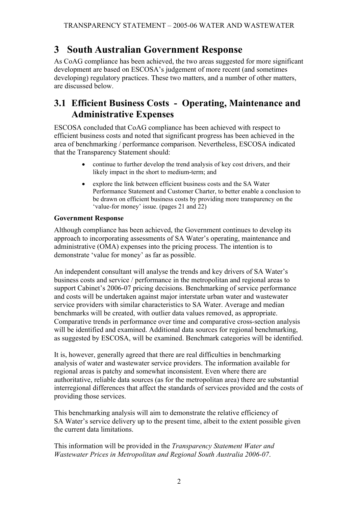## **3 South Australian Government Response**

As CoAG compliance has been achieved, the two areas suggested for more significant development are based on ESCOSA's judgement of more recent (and sometimes developing) regulatory practices. These two matters, and a number of other matters, are discussed below.

### **3.1 Efficient Business Costs - Operating, Maintenance and Administrative Expenses**

ESCOSA concluded that CoAG compliance has been achieved with respect to efficient business costs and noted that significant progress has been achieved in the area of benchmarking / performance comparison. Nevertheless, ESCOSA indicated that the Transparency Statement should:

- continue to further develop the trend analysis of key cost drivers, and their likely impact in the short to medium-term; and
- explore the link between efficient business costs and the SA Water Performance Statement and Customer Charter, to better enable a conclusion to be drawn on efficient business costs by providing more transparency on the 'value-for money' issue. (pages 21 and 22)

#### **Government Response**

Although compliance has been achieved, the Government continues to develop its approach to incorporating assessments of SA Water's operating, maintenance and administrative (OMA) expenses into the pricing process. The intention is to demonstrate 'value for money' as far as possible.

An independent consultant will analyse the trends and key drivers of SA Water's business costs and service / performance in the metropolitan and regional areas to support Cabinet's 2006-07 pricing decisions. Benchmarking of service performance and costs will be undertaken against major interstate urban water and wastewater service providers with similar characteristics to SA Water. Average and median benchmarks will be created, with outlier data values removed, as appropriate. Comparative trends in performance over time and comparative cross-section analysis will be identified and examined. Additional data sources for regional benchmarking, as suggested by ESCOSA, will be examined. Benchmark categories will be identified.

It is, however, generally agreed that there are real difficulties in benchmarking analysis of water and wastewater service providers. The information available for regional areas is patchy and somewhat inconsistent. Even where there are authoritative, reliable data sources (as for the metropolitan area) there are substantial interregional differences that affect the standards of services provided and the costs of providing those services.

This benchmarking analysis will aim to demonstrate the relative efficiency of SA Water's service delivery up to the present time, albeit to the extent possible given the current data limitations.

This information will be provided in the *Transparency Statement Water and Wastewater Prices in Metropolitan and Regional South Australia 2006-07*.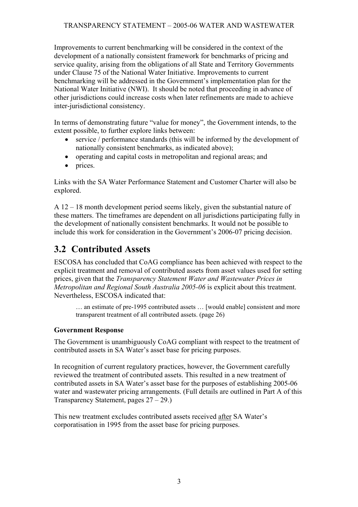Improvements to current benchmarking will be considered in the context of the development of a nationally consistent framework for benchmarks of pricing and service quality, arising from the obligations of all State and Territory Governments under Clause 75 of the National Water Initiative. Improvements to current benchmarking will be addressed in the Government's implementation plan for the National Water Initiative (NWI). It should be noted that proceeding in advance of other jurisdictions could increase costs when later refinements are made to achieve inter-jurisdictional consistency.

In terms of demonstrating future "value for money", the Government intends, to the extent possible, to further explore links between:

- service / performance standards (this will be informed by the development of nationally consistent benchmarks, as indicated above);
- operating and capital costs in metropolitan and regional areas; and
- prices.

Links with the SA Water Performance Statement and Customer Charter will also be explored.

A 12 – 18 month development period seems likely, given the substantial nature of these matters. The timeframes are dependent on all jurisdictions participating fully in the development of nationally consistent benchmarks. It would not be possible to include this work for consideration in the Government's 2006-07 pricing decision.

## **3.2 Contributed Assets**

ESCOSA has concluded that CoAG compliance has been achieved with respect to the explicit treatment and removal of contributed assets from asset values used for setting prices, given that the *Transparency Statement Water and Wastewater Prices in Metropolitan and Regional South Australia 2005-06* is explicit about this treatment. Nevertheless, ESCOSA indicated that:

… an estimate of pre-1995 contributed assets … [would enable] consistent and more transparent treatment of all contributed assets. (page 26)

#### **Government Response**

The Government is unambiguously CoAG compliant with respect to the treatment of contributed assets in SA Water's asset base for pricing purposes.

In recognition of current regulatory practices, however, the Government carefully reviewed the treatment of contributed assets. This resulted in a new treatment of contributed assets in SA Water's asset base for the purposes of establishing 2005-06 water and wastewater pricing arrangements. (Full details are outlined in Part A of this Transparency Statement, pages 27 – 29.)

This new treatment excludes contributed assets received after SA Water's corporatisation in 1995 from the asset base for pricing purposes.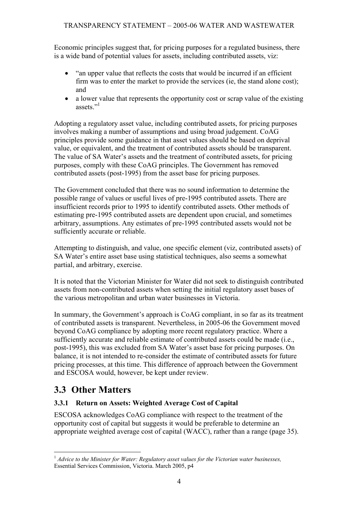Economic principles suggest that, for pricing purposes for a regulated business, there is a wide band of potential values for assets, including contributed assets, viz:

- "an upper value that reflects the costs that would be incurred if an efficient firm was to enter the market to provide the services (ie, the stand alone cost); and
- a lower value that represents the opportunity cost or scrap value of the existing assets<sup>"1</sup>

Adopting a regulatory asset value, including contributed assets, for pricing purposes involves making a number of assumptions and using broad judgement. CoAG principles provide some guidance in that asset values should be based on deprival value, or equivalent, and the treatment of contributed assets should be transparent. The value of SA Water's assets and the treatment of contributed assets, for pricing purposes, comply with these CoAG principles. The Government has removed contributed assets (post-1995) from the asset base for pricing purposes.

The Government concluded that there was no sound information to determine the possible range of values or useful lives of pre-1995 contributed assets. There are insufficient records prior to 1995 to identify contributed assets. Other methods of estimating pre-1995 contributed assets are dependent upon crucial, and sometimes arbitrary, assumptions. Any estimates of pre-1995 contributed assets would not be sufficiently accurate or reliable.

Attempting to distinguish, and value, one specific element (viz, contributed assets) of SA Water's entire asset base using statistical techniques, also seems a somewhat partial, and arbitrary, exercise.

It is noted that the Victorian Minister for Water did not seek to distinguish contributed assets from non-contributed assets when setting the initial regulatory asset bases of the various metropolitan and urban water businesses in Victoria.

In summary, the Government's approach is CoAG compliant, in so far as its treatment of contributed assets is transparent. Nevertheless, in 2005-06 the Government moved beyond CoAG compliance by adopting more recent regulatory practice. Where a sufficiently accurate and reliable estimate of contributed assets could be made (i.e., post-1995), this was excluded from SA Water's asset base for pricing purposes. On balance, it is not intended to re-consider the estimate of contributed assets for future pricing processes, at this time. This difference of approach between the Government and ESCOSA would, however, be kept under review.

### **3.3 Other Matters**

#### **3.3.1 Return on Assets: Weighted Average Cost of Capital**

ESCOSA acknowledges CoAG compliance with respect to the treatment of the opportunity cost of capital but suggests it would be preferable to determine an appropriate weighted average cost of capital (WACC), rather than a range (page 35).

 $\overline{a}$ <sup>1</sup> *Advice to the Minister for Water: Regulatory asset values for the Victorian water businesses,* Essential Services Commission, Victoria. March 2005, p4